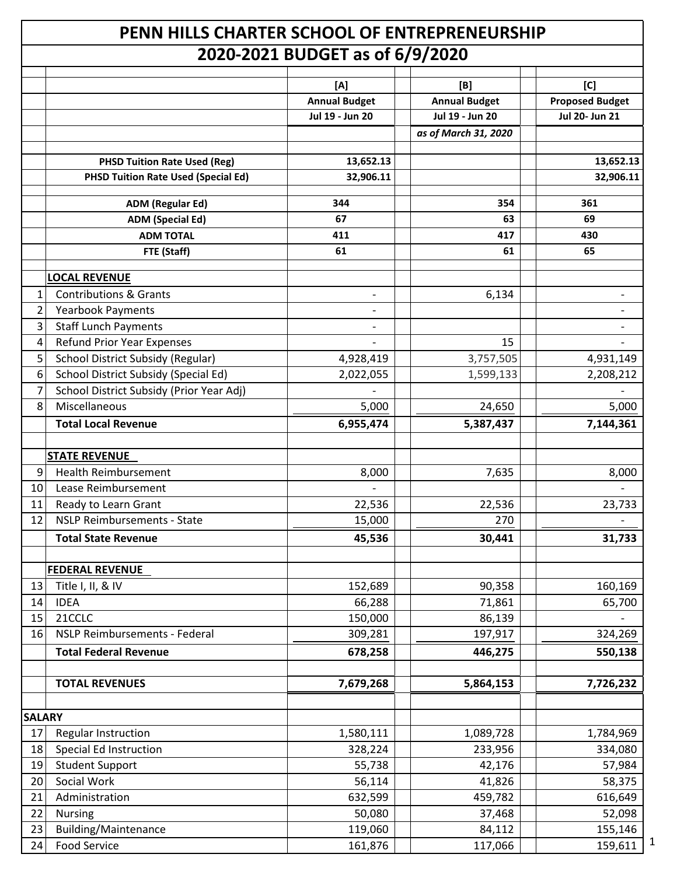## **PENN HILLS CHARTER SCHOOL OF ENTREPRENEURSHIP 2020-2021 BUDGET as of 6/9/2020**

| ZUZU-ZUZI DUDUET AS 01 0/9/ZUZU |                                            |                          |                      |                              |  |
|---------------------------------|--------------------------------------------|--------------------------|----------------------|------------------------------|--|
|                                 |                                            | [A]                      | [B]                  | [C]                          |  |
|                                 |                                            | <b>Annual Budget</b>     | <b>Annual Budget</b> | <b>Proposed Budget</b>       |  |
|                                 |                                            | Jul 19 - Jun 20          | Jul 19 - Jun 20      | Jul 20- Jun 21               |  |
|                                 |                                            |                          | as of March 31, 2020 |                              |  |
|                                 |                                            |                          |                      |                              |  |
|                                 | <b>PHSD Tuition Rate Used (Reg)</b>        | 13,652.13                |                      | 13,652.13                    |  |
|                                 | <b>PHSD Tuition Rate Used (Special Ed)</b> | 32,906.11                |                      | 32,906.11                    |  |
|                                 | <b>ADM (Regular Ed)</b>                    | 344                      | 354                  | 361                          |  |
|                                 | <b>ADM (Special Ed)</b>                    | 67                       | 63                   | 69                           |  |
|                                 | <b>ADM TOTAL</b>                           | 411                      | 417                  | 430                          |  |
|                                 | FTE (Staff)                                | 61                       | 61                   | 65                           |  |
|                                 |                                            |                          |                      |                              |  |
|                                 | <b>LOCAL REVENUE</b>                       |                          |                      |                              |  |
| 1                               | <b>Contributions &amp; Grants</b>          | $\overline{\phantom{0}}$ | 6,134                | $\qquad \qquad \blacksquare$ |  |
| $\overline{2}$                  | <b>Yearbook Payments</b>                   |                          |                      |                              |  |
| 3                               | <b>Staff Lunch Payments</b>                |                          |                      |                              |  |
| 4                               | <b>Refund Prior Year Expenses</b>          |                          | 15                   |                              |  |
| 5                               | School District Subsidy (Regular)          | 4,928,419                | 3,757,505            | 4,931,149                    |  |
| 6                               | School District Subsidy (Special Ed)       | 2,022,055                | 1,599,133            | 2,208,212                    |  |
| $\overline{7}$                  | School District Subsidy (Prior Year Adj)   |                          |                      |                              |  |
| 8                               | Miscellaneous                              | 5,000                    | 24,650               | 5,000                        |  |
|                                 | <b>Total Local Revenue</b>                 | 6,955,474                | 5,387,437            | 7,144,361                    |  |
|                                 | <b>STATE REVENUE</b>                       |                          |                      |                              |  |
| 9                               | <b>Health Reimbursement</b>                | 8,000                    | 7,635                | 8,000                        |  |
| 10                              | Lease Reimbursement                        |                          |                      |                              |  |
| 11                              | Ready to Learn Grant                       | 22,536                   | 22,536               | 23,733                       |  |
| 12                              | <b>NSLP Reimbursements - State</b>         | 15,000                   | 270                  |                              |  |
|                                 | <b>Total State Revenue</b>                 | 45,536                   | 30,441               | 31,733                       |  |
|                                 |                                            |                          |                      |                              |  |
|                                 | <b>FEDERAL REVENUE</b>                     |                          |                      |                              |  |
| 13                              | Title I, II, & IV                          | 152,689                  | 90,358               | 160,169                      |  |
| 14                              | <b>IDEA</b>                                | 66,288                   | 71,861               | 65,700                       |  |
| 15                              | 21CCLC                                     | 150,000                  | 86,139               |                              |  |
| 16                              | NSLP Reimbursements - Federal              | 309,281                  | 197,917              | 324,269                      |  |
|                                 | <b>Total Federal Revenue</b>               | 678,258                  | 446,275              | 550,138                      |  |
|                                 |                                            |                          |                      |                              |  |
|                                 | <b>TOTAL REVENUES</b>                      | 7,679,268                | 5,864,153            | 7,726,232                    |  |
|                                 |                                            |                          |                      |                              |  |
| <b>SALARY</b>                   |                                            |                          |                      |                              |  |
| 17                              | Regular Instruction                        | 1,580,111                | 1,089,728            | 1,784,969                    |  |
| 18                              | Special Ed Instruction                     | 328,224                  | 233,956              | 334,080                      |  |
| 19                              | <b>Student Support</b>                     | 55,738                   | 42,176               | 57,984                       |  |
| 20                              | Social Work                                | 56,114                   | 41,826               | 58,375                       |  |
| 21                              | Administration                             | 632,599                  | 459,782              | 616,649                      |  |
| 22                              | Nursing                                    | 50,080                   | 37,468               | 52,098                       |  |
| 23                              | <b>Building/Maintenance</b>                | 119,060                  | 84,112               | 155,146                      |  |
| 24                              | <b>Food Service</b>                        | 161,876                  | 117,066              | 159,611                      |  |

1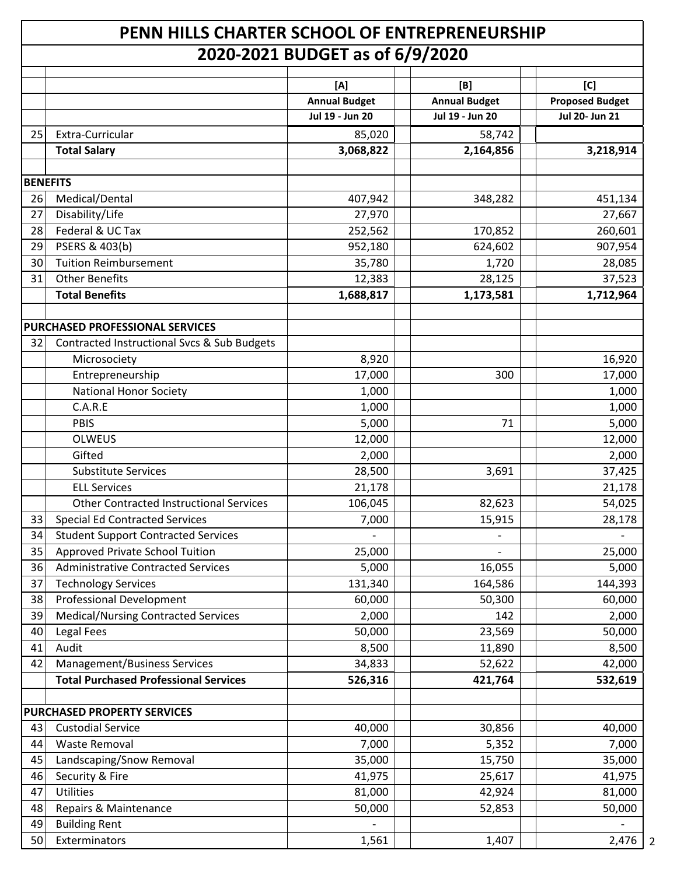## **PENN HILLS CHARTER SCHOOL OF ENTREPRENEURSHIP 2020-2021 BUDGET as of 6/9/2020**

|                 |                                                | [A]                  | [B]                  | [C]                    |
|-----------------|------------------------------------------------|----------------------|----------------------|------------------------|
|                 |                                                | <b>Annual Budget</b> | <b>Annual Budget</b> | <b>Proposed Budget</b> |
|                 |                                                | Jul 19 - Jun 20      | Jul 19 - Jun 20      | Jul 20- Jun 21         |
| 25              | Extra-Curricular                               | 85,020               | 58,742               |                        |
|                 | <b>Total Salary</b>                            | 3,068,822            | 2,164,856            | 3,218,914              |
| <b>BENEFITS</b> |                                                |                      |                      |                        |
| 26              | Medical/Dental                                 | 407,942              | 348,282              | 451,134                |
| 27              | Disability/Life                                | 27,970               |                      | 27,667                 |
| 28              | Federal & UC Tax                               | 252,562              | 170,852              | 260,601                |
| 29              | PSERS & 403(b)                                 | 952,180              | 624,602              | 907,954                |
| 30              | <b>Tuition Reimbursement</b>                   | 35,780               | 1,720                | 28,085                 |
| 31              | <b>Other Benefits</b>                          | 12,383               | 28,125               | 37,523                 |
|                 | <b>Total Benefits</b>                          | 1,688,817            | 1,173,581            | 1,712,964              |
|                 | <b>PURCHASED PROFESSIONAL SERVICES</b>         |                      |                      |                        |
| 32              | Contracted Instructional Svcs & Sub Budgets    |                      |                      |                        |
|                 | Microsociety                                   | 8,920                |                      | 16,920                 |
|                 | Entrepreneurship                               | 17,000               | 300                  | 17,000                 |
|                 | <b>National Honor Society</b>                  | 1,000                |                      | 1,000                  |
|                 | C.A.R.E                                        | 1,000                |                      | 1,000                  |
|                 | <b>PBIS</b>                                    | 5,000                | 71                   | 5,000                  |
|                 | <b>OLWEUS</b>                                  | 12,000               |                      | 12,000                 |
|                 | Gifted                                         | 2,000                |                      | 2,000                  |
|                 | <b>Substitute Services</b>                     | 28,500               | 3,691                | 37,425                 |
|                 | <b>ELL Services</b>                            | 21,178               |                      | 21,178                 |
|                 | <b>Other Contracted Instructional Services</b> | 106,045              | 82,623               | 54,025                 |
| 33              | <b>Special Ed Contracted Services</b>          | 7,000                | 15,915               | 28,178                 |
| 34              | <b>Student Support Contracted Services</b>     |                      |                      |                        |
| 35              | Approved Private School Tuition                | 25,000               |                      | 25,000                 |
| 36              | <b>Administrative Contracted Services</b>      | 5,000                | 16,055               | 5,000                  |
| 37              | <b>Technology Services</b>                     | 131,340              | 164,586              | 144,393                |
| 38              | <b>Professional Development</b>                | 60,000               | 50,300               | 60,000                 |
| 39              | <b>Medical/Nursing Contracted Services</b>     | 2,000                | 142                  | 2,000                  |
| 40              | Legal Fees                                     | 50,000               | 23,569               | 50,000                 |
| 41              | Audit                                          | 8,500                | 11,890               | 8,500                  |
| 42              | <b>Management/Business Services</b>            | 34,833               | 52,622               | 42,000                 |
|                 | <b>Total Purchased Professional Services</b>   | 526,316              | 421,764              | 532,619                |
|                 | PURCHASED PROPERTY SERVICES                    |                      |                      |                        |
| 43              | <b>Custodial Service</b>                       | 40,000               | 30,856               | 40,000                 |
| 44              | <b>Waste Removal</b>                           | 7,000                | 5,352                | 7,000                  |
| 45              | Landscaping/Snow Removal                       | 35,000               | 15,750               | 35,000                 |
| 46              | Security & Fire                                | 41,975               | 25,617               | 41,975                 |
| 47              | Utilities                                      | 81,000               | 42,924               | 81,000                 |
| 48              | Repairs & Maintenance                          | 50,000               | 52,853               | 50,000                 |
| 49              | <b>Building Rent</b>                           |                      |                      |                        |
| 50              | Exterminators                                  | 1,561                | 1,407                | 2,476                  |

2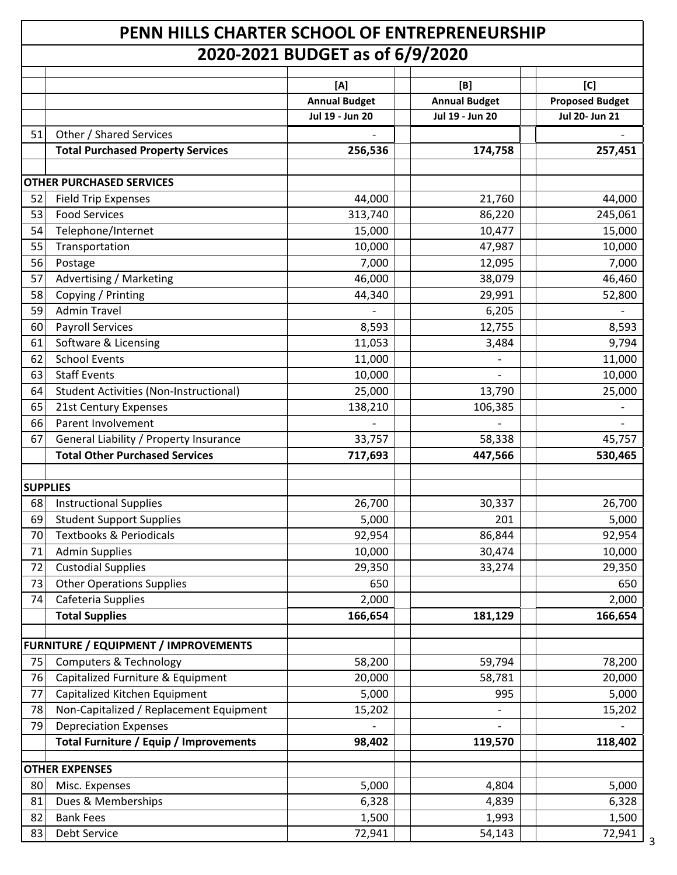## **PENN HILLS CHARTER SCHOOL OF ENTREPRENEURSHIP 2020-2021 BUDGET as of 6/9/2020**

|                 |                                               | 2020 2021 DODOLT GJ 01 07 J7 2020 |                      |                        |
|-----------------|-----------------------------------------------|-----------------------------------|----------------------|------------------------|
|                 |                                               | [A]                               | [B]                  | [C]                    |
|                 |                                               | <b>Annual Budget</b>              | <b>Annual Budget</b> | <b>Proposed Budget</b> |
|                 |                                               | Jul 19 - Jun 20                   | Jul 19 - Jun 20      | Jul 20- Jun 21         |
| 51              | Other / Shared Services                       |                                   |                      |                        |
|                 | <b>Total Purchased Property Services</b>      | 256,536                           | 174,758              | 257,451                |
|                 |                                               |                                   |                      |                        |
|                 | <b>OTHER PURCHASED SERVICES</b>               |                                   |                      |                        |
| 52              | <b>Field Trip Expenses</b>                    | 44,000                            | 21,760               | 44,000                 |
| 53              | <b>Food Services</b>                          | 313,740                           | 86,220               | 245,061                |
| 54              | Telephone/Internet                            | 15,000                            | 10,477               | 15,000                 |
| 55              | Transportation                                | 10,000                            | 47,987               | 10,000                 |
| 56              | Postage                                       | 7,000                             | 12,095               | 7,000                  |
| 57              | Advertising / Marketing                       | 46,000                            | 38,079               | 46,460                 |
| 58              | Copying / Printing                            | 44,340                            | 29,991               | 52,800                 |
| 59              | <b>Admin Travel</b>                           |                                   | 6,205                |                        |
| 60              | <b>Payroll Services</b>                       | 8,593                             | 12,755               | 8,593                  |
| 61              | Software & Licensing                          | 11,053                            | 3,484                | 9,794                  |
| 62              | <b>School Events</b>                          | 11,000                            |                      | 11,000                 |
| 63              | <b>Staff Events</b>                           | 10,000                            |                      | 10,000                 |
| 64              | <b>Student Activities (Non-Instructional)</b> | 25,000                            | 13,790               | 25,000                 |
| 65              | 21st Century Expenses                         | 138,210                           | 106,385              |                        |
| 66              | Parent Involvement                            |                                   |                      |                        |
| 67              | General Liability / Property Insurance        | 33,757                            | 58,338               | 45,757                 |
|                 | <b>Total Other Purchased Services</b>         | 717,693                           | 447,566              | 530,465                |
|                 |                                               |                                   |                      |                        |
| <b>SUPPLIES</b> |                                               |                                   |                      |                        |
| 68              | <b>Instructional Supplies</b>                 | 26,700                            | 30,337               | 26,700                 |
| 69              | <b>Student Support Supplies</b>               | 5,000                             | 201                  | 5,000                  |
| 70              | <b>Textbooks &amp; Periodicals</b>            | 92,954                            | 86,844               | 92,954                 |
| 71              | <b>Admin Supplies</b>                         | 10,000                            | 30,474               | 10,000                 |
| 72              | <b>Custodial Supplies</b>                     | 29,350                            | 33,274               | 29,350                 |
| 73              | <b>Other Operations Supplies</b>              | 650                               |                      | 650                    |
| 74              | Cafeteria Supplies                            | 2,000                             |                      | 2,000                  |
|                 | <b>Total Supplies</b>                         | 166,654                           | 181,129              | 166,654                |
|                 | FURNITURE / EQUIPMENT / IMPROVEMENTS          |                                   |                      |                        |
| 75              | <b>Computers &amp; Technology</b>             |                                   | 59,794               |                        |
|                 |                                               | 58,200                            |                      | 78,200                 |
| 76              | Capitalized Furniture & Equipment             | 20,000                            | 58,781               | 20,000                 |
| 77              | Capitalized Kitchen Equipment                 | 5,000                             | 995                  | 5,000                  |
| 78              | Non-Capitalized / Replacement Equipment       | 15,202                            |                      | 15,202                 |
| 79              | <b>Depreciation Expenses</b>                  |                                   |                      |                        |
|                 | <b>Total Furniture / Equip / Improvements</b> | 98,402                            | 119,570              | 118,402                |
|                 | <b>OTHER EXPENSES</b>                         |                                   |                      |                        |
| 80              | Misc. Expenses                                | 5,000                             | 4,804                | 5,000                  |
| 81              | Dues & Memberships                            | 6,328                             | 4,839                | 6,328                  |
| 82              | <b>Bank Fees</b>                              | 1,500                             | 1,993                | 1,500                  |
| 83              | Debt Service                                  | 72,941                            | 54,143               | 72,941                 |